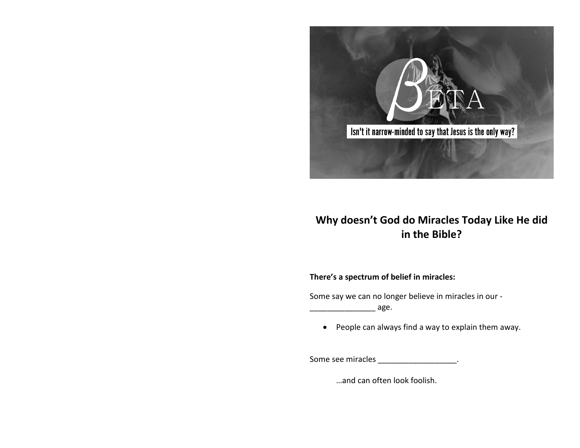

# **Why doesn't God do Miracles Today Like He did in the Bible?**

### **There's a spectrum of belief in miracles:**

Some say we can no longer believe in miracles in our -

\_\_\_\_\_\_\_\_\_\_\_\_\_\_\_ age.

• People can always find a way to explain them away.

Some see miracles \_\_\_\_\_\_\_\_\_\_\_\_\_\_\_\_\_\_\_\_.

…and can often look foolish.